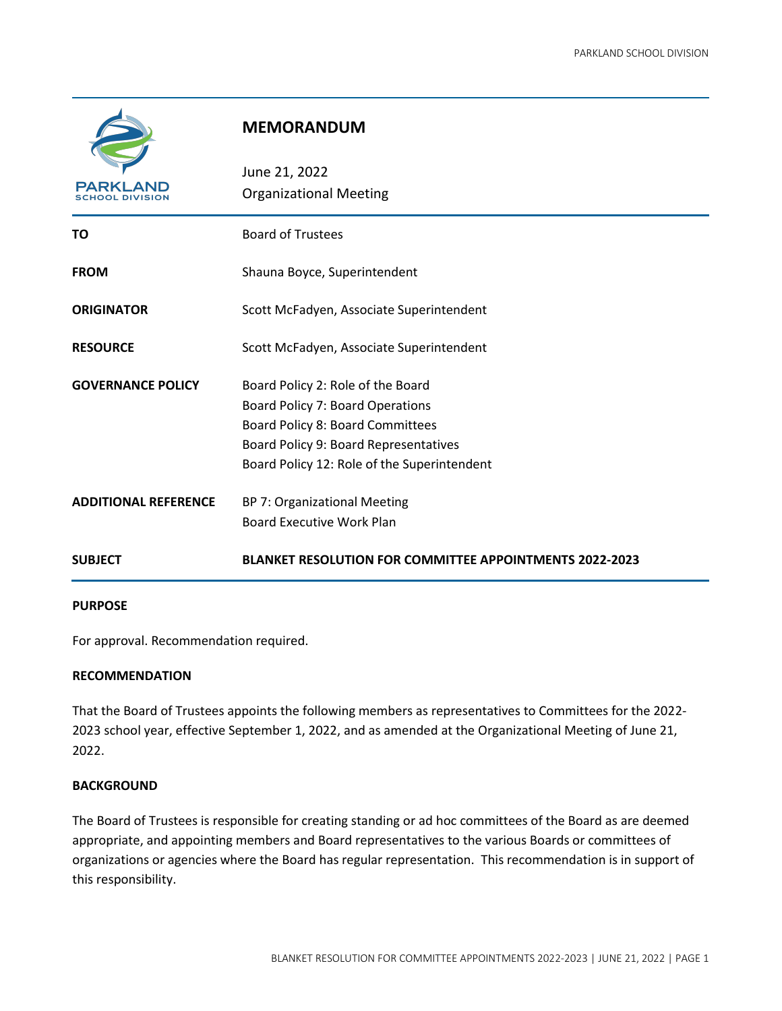

# **MEMORANDUM**

| PARKLAND                    | June 21, 2022<br><b>Organizational Meeting</b>                 |
|-----------------------------|----------------------------------------------------------------|
|                             |                                                                |
| TO                          | <b>Board of Trustees</b>                                       |
| <b>FROM</b>                 | Shauna Boyce, Superintendent                                   |
| <b>ORIGINATOR</b>           | Scott McFadyen, Associate Superintendent                       |
| <b>RESOURCE</b>             | Scott McFadyen, Associate Superintendent                       |
| <b>GOVERNANCE POLICY</b>    | Board Policy 2: Role of the Board                              |
|                             | Board Policy 7: Board Operations                               |
|                             | Board Policy 8: Board Committees                               |
|                             | Board Policy 9: Board Representatives                          |
|                             | Board Policy 12: Role of the Superintendent                    |
| <b>ADDITIONAL REFERENCE</b> | BP 7: Organizational Meeting                                   |
|                             | <b>Board Executive Work Plan</b>                               |
| <b>SUBJECT</b>              | <b>BLANKET RESOLUTION FOR COMMITTEE APPOINTMENTS 2022-2023</b> |
|                             |                                                                |

### **PURPOSE**

For approval. Recommendation required.

## **RECOMMENDATION**

That the Board of Trustees appoints the following members as representatives to Committees for the 2022- 2023 school year, effective September 1, 2022, and as amended at the Organizational Meeting of June 21, 2022.

### **BACKGROUND**

The Board of Trustees is responsible for creating standing or ad hoc committees of the Board as are deemed appropriate, and appointing members and Board representatives to the various Boards or committees of organizations or agencies where the Board has regular representation. This recommendation is in support of this responsibility.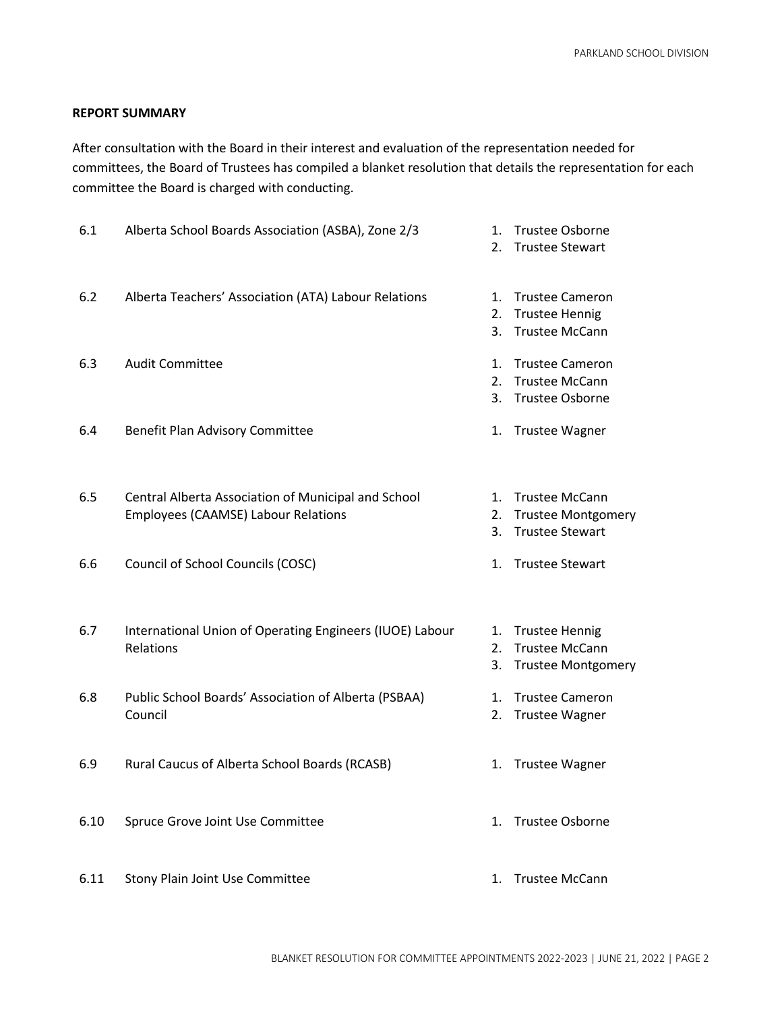### **REPORT SUMMARY**

After consultation with the Board in their interest and evaluation of the representation needed for committees, the Board of Trustees has compiled a blanket resolution that details the representation for each committee the Board is charged with conducting.

| 6.1  | Alberta School Boards Association (ASBA), Zone 2/3                                                | $2^{\circ}$    | 1. Trustee Osborne<br><b>Trustee Stewart</b>                                 |
|------|---------------------------------------------------------------------------------------------------|----------------|------------------------------------------------------------------------------|
| 6.2  | Alberta Teachers' Association (ATA) Labour Relations                                              | 1.<br>2.<br>3. | <b>Trustee Cameron</b><br><b>Trustee Hennig</b><br><b>Trustee McCann</b>     |
| 6.3  | <b>Audit Committee</b>                                                                            | 1.<br>2.<br>3. | <b>Trustee Cameron</b><br><b>Trustee McCann</b><br>Trustee Osborne           |
| 6.4  | Benefit Plan Advisory Committee                                                                   |                | 1. Trustee Wagner                                                            |
| 6.5  | Central Alberta Association of Municipal and School<br><b>Employees (CAAMSE) Labour Relations</b> | 1.<br>2.<br>3. | <b>Trustee McCann</b><br><b>Trustee Montgomery</b><br><b>Trustee Stewart</b> |
| 6.6  | Council of School Councils (COSC)                                                                 | 1.             | <b>Trustee Stewart</b>                                                       |
| 6.7  | International Union of Operating Engineers (IUOE) Labour<br>Relations                             | 2.<br>3.       | 1. Trustee Hennig<br><b>Trustee McCann</b><br><b>Trustee Montgomery</b>      |
| 6.8  | Public School Boards' Association of Alberta (PSBAA)<br>Council                                   | 1.<br>2.       | <b>Trustee Cameron</b><br><b>Trustee Wagner</b>                              |
| 6.9  | Rural Caucus of Alberta School Boards (RCASB)                                                     |                | 1. Trustee Wagner                                                            |
| 6.10 | Spruce Grove Joint Use Committee                                                                  | 1.             | Trustee Osborne                                                              |
| 6.11 | Stony Plain Joint Use Committee                                                                   | 1.             | <b>Trustee McCann</b>                                                        |